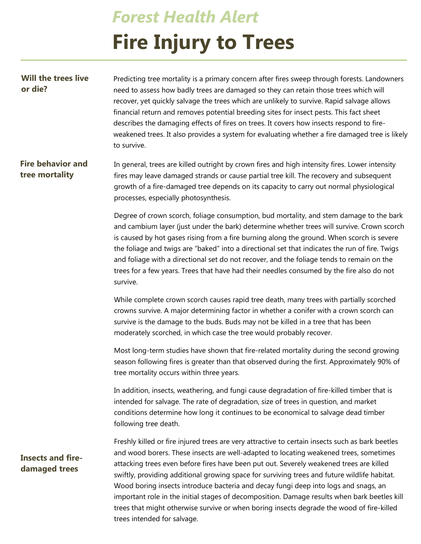## *Forest Health Alert* **Fire Injury to Trees**

| <b>Will the trees live</b><br>or die?      | Predicting tree mortality is a primary concern after fires sweep through forests. Landowners<br>need to assess how badly trees are damaged so they can retain those trees which will<br>recover, yet quickly salvage the trees which are unlikely to survive. Rapid salvage allows<br>financial return and removes potential breeding sites for insect pests. This fact sheet<br>describes the damaging effects of fires on trees. It covers how insects respond to fire-<br>weakened trees. It also provides a system for evaluating whether a fire damaged tree is likely<br>to survive. |
|--------------------------------------------|--------------------------------------------------------------------------------------------------------------------------------------------------------------------------------------------------------------------------------------------------------------------------------------------------------------------------------------------------------------------------------------------------------------------------------------------------------------------------------------------------------------------------------------------------------------------------------------------|
| <b>Fire behavior and</b><br>tree mortality | In general, trees are killed outright by crown fires and high intensity fires. Lower intensity<br>fires may leave damaged strands or cause partial tree kill. The recovery and subsequent<br>growth of a fire-damaged tree depends on its capacity to carry out normal physiological<br>processes, especially photosynthesis.                                                                                                                                                                                                                                                              |
|                                            | Degree of crown scorch, foliage consumption, bud mortality, and stem damage to the bark<br>and cambium layer (just under the bark) determine whether trees will survive. Crown scorch<br>is caused by hot gases rising from a fire burning along the ground. When scorch is severe<br>the foliage and twigs are "baked" into a directional set that indicates the run of fire. Twigs<br>and foliage with a directional set do not recover, and the foliage tends to remain on the<br>trees for a few years. Trees that have had their needles consumed by the fire also do not<br>survive. |
|                                            | While complete crown scorch causes rapid tree death, many trees with partially scorched<br>crowns survive. A major determining factor in whether a conifer with a crown scorch can<br>survive is the damage to the buds. Buds may not be killed in a tree that has been<br>moderately scorched, in which case the tree would probably recover.                                                                                                                                                                                                                                             |
|                                            | Most long-term studies have shown that fire-related mortality during the second growing<br>season following fires is greater than that observed during the first. Approximately 90% of<br>tree mortality occurs within three years.                                                                                                                                                                                                                                                                                                                                                        |
|                                            | In addition, insects, weathering, and fungi cause degradation of fire-killed timber that is<br>intended for salvage. The rate of degradation, size of trees in question, and market<br>conditions determine how long it continues to be economical to salvage dead timber<br>following tree death.                                                                                                                                                                                                                                                                                         |
| <b>Insects and fire-</b><br>damaged trees  | Freshly killed or fire injured trees are very attractive to certain insects such as bark beetles<br>and wood borers. These insects are well-adapted to locating weakened trees, sometimes<br>attacking trees even before fires have been put out. Severely weakened trees are killed<br>swiftly, providing additional growing space for surviving trees and future wildlife habitat.<br>Wood boring insects introduce bacteria and decay fungi deep into logs and snags, an<br>important role in the initial stages of decomposition. Damage results when bark beetles kill                |

trees that might otherwise survive or when boring insects degrade the wood of fire-killed

trees intended for salvage.